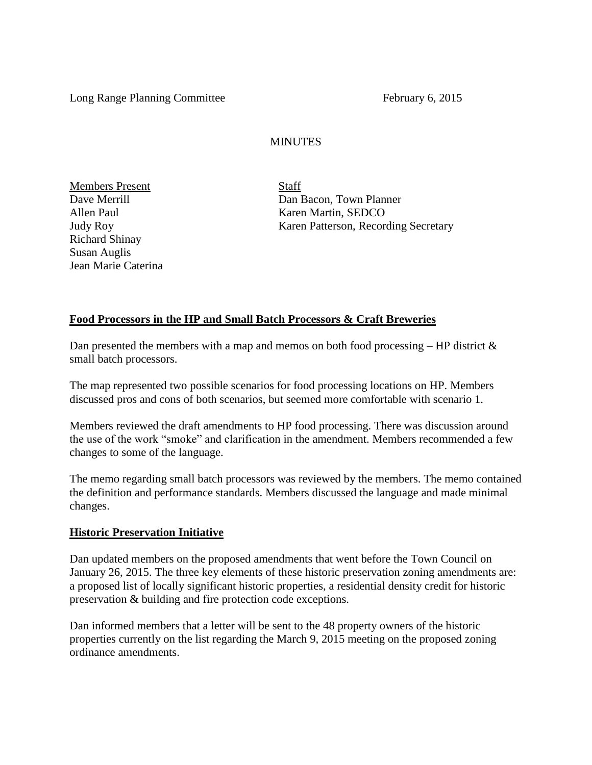Long Range Planning Committee February 6, 2015

### **MINUTES**

Members Present Staff Richard Shinay Susan Auglis Jean Marie Caterina

Dan Bacon, Town Planner Allen Paul Karen Martin, SEDCO Judy Roy Karen Patterson, Recording Secretary

### **Food Processors in the HP and Small Batch Processors & Craft Breweries**

Dan presented the members with a map and memos on both food processing  $-$  HP district  $\&$ small batch processors.

The map represented two possible scenarios for food processing locations on HP. Members discussed pros and cons of both scenarios, but seemed more comfortable with scenario 1.

Members reviewed the draft amendments to HP food processing. There was discussion around the use of the work "smoke" and clarification in the amendment. Members recommended a few changes to some of the language.

The memo regarding small batch processors was reviewed by the members. The memo contained the definition and performance standards. Members discussed the language and made minimal changes.

### **Historic Preservation Initiative**

Dan updated members on the proposed amendments that went before the Town Council on January 26, 2015. The three key elements of these historic preservation zoning amendments are: a proposed list of locally significant historic properties, a residential density credit for historic preservation & building and fire protection code exceptions.

Dan informed members that a letter will be sent to the 48 property owners of the historic properties currently on the list regarding the March 9, 2015 meeting on the proposed zoning ordinance amendments.